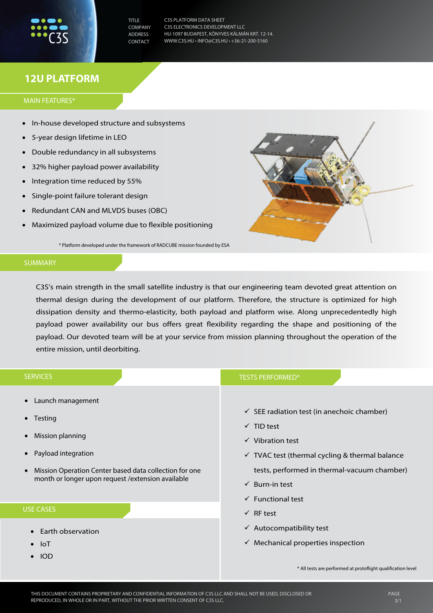TITLE **COMPANY** ADDRESS CONTACT

C3S PLATFORM DATA SHEET C3S ELECTRONICS DEVELOPMENT LLC HU-1097 BUDAPEST, KÖNYVES KÁLMÁN KRT. 12-14. WWW.C3S.HU • INFO@C3S.HU • +36-21-200-5160

## **12U PLATFORM**

MAIN FEATURES\*

- In-house developed structure and subsystems
- 5-year design lifetime in LEO
- Double redundancy in all subsystems
- 32% higher payload power availability
- Integration time reduced by 55%
- Single-point failure tolerant design
- Redundant CAN and MLVDS buses (OBC)
- Maximized payload volume due to flexible positioning

\* Platform developed under the framework of RADCUBE mission founded by ESA

## SUMMARY

C3S's main strength in the small satellite industry is that our engineering team devoted great attention on thermal design during the development of our platform. Therefore, the structure is optimized for high dissipation density and thermo-elasticity, both payload and platform wise. Along unprecedentedly high payload power availability our bus offers great flexibility regarding the shape and positioning of the payload. Our devoted team will be at your service from mission planning throughout the operation of the entire mission, until deorbiting.

| <b>SERVICES</b>                                                                                                                                                                                                                                                          | <b>TESTS PERFORMED*</b>                                                                                                                                                                                                                                                                |
|--------------------------------------------------------------------------------------------------------------------------------------------------------------------------------------------------------------------------------------------------------------------------|----------------------------------------------------------------------------------------------------------------------------------------------------------------------------------------------------------------------------------------------------------------------------------------|
| • Launch management<br>$\bullet$ Testing<br>Remote testing facility using flatsat<br>Mission planning<br>• Payload design & MAIT from TRL 4<br>Mission Operation Center based data collection for<br>$\bullet$<br>one month or longer upon request / extension available | $\checkmark$ SEE radiation test (in anechoic chamber)<br>$\checkmark$ TID test<br>$\checkmark$ Vibration test<br>$\checkmark$ TVAC test (thermal cycling & thermal balance<br>tests, performed in thermal-vacuum chamber)<br>$\checkmark$ Burn-in test<br>$\checkmark$ Functional test |
| <b>USE CASES</b>                                                                                                                                                                                                                                                         | $\checkmark$ RF test                                                                                                                                                                                                                                                                   |
| Earth observation<br>• Space weather monitoring<br>-loT<br>Cyber security<br><b>IOD</b>                                                                                                                                                                                  | $\checkmark$ Autocompatibility test<br>$\checkmark$ Mechanical properties inspection                                                                                                                                                                                                   |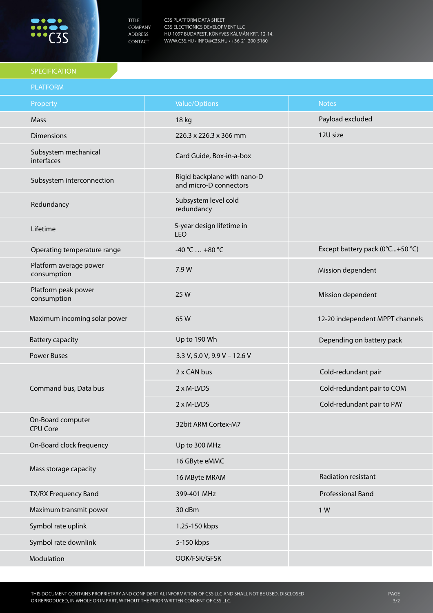

TITLE COMPANY ADDRESS CONTACT

C3S PLATFORM DATA SHEET C3S ELECTRONICS DEVELOPMENT LLC HU-1097 BUDAPEST, KÖNYVES KÁLMÁN KRT. 12-14. WWW.C3S.HU • INFO@C3S.HU • +36-21-200-5160

## SPECIFICATION

| <b>PLATFORM</b>                       |                                                       |                                 |
|---------------------------------------|-------------------------------------------------------|---------------------------------|
| Property                              | <b>Value/Options</b>                                  | <b>Notes</b>                    |
| Mass                                  | 18 kg                                                 | Payload excluded                |
| <b>Dimensions</b>                     | 226.3 x 226.3 x 366 mm                                | 12U size                        |
| Subsystem mechanical<br>interfaces    | Card Guide, Box-in-a-box                              |                                 |
| Subsystem interconnection             | Rigid backplane with nano-D<br>and micro-D connectors |                                 |
| Redundancy                            | Subsystem level cold<br>redundancy                    |                                 |
| Lifetime                              | 5-year design lifetime in<br>LEO                      |                                 |
| Operating temperature range           | $-40 °C  +80 °C$                                      | Except battery pack (0°C+50 °C) |
| Platform average power<br>consumption | 7.9 W                                                 | Mission dependent               |
| Platform peak power<br>consumption    | 25 W                                                  | Mission dependent               |
| Maximum incoming solar power          | 65W                                                   | 12-20 independent MPPT channels |
| <b>Battery capacity</b>               | Up to 190 Wh                                          | Depending on battery pack       |
| <b>Power Buses</b>                    | 3.3 V, 5.0 V, 9.9 V - 12.6 V                          |                                 |
| Command bus, Data bus                 | 2 x CAN bus                                           | Cold-redundant pair             |
|                                       | 2 x M-LVDS                                            | Cold-redundant pair to COM      |
|                                       | 2 x M-LVDS                                            | Cold-redundant pair to PAY      |
| On-Board computer<br><b>CPU Core</b>  | 32bit ARM Cortex-M7                                   |                                 |
| On-Board clock frequency              | Up to 300 MHz                                         |                                 |
| Mass storage capacity                 | 16 GByte eMMC                                         |                                 |
|                                       | 16 MByte MRAM                                         | Radiation resistant             |
| TX/RX Frequency Band                  | 399-401 MHz                                           | Professional Band               |
| Maximum transmit power                | 30 dBm                                                | 1 W                             |
| Symbol rate uplink                    | 1.25-150 kbps                                         |                                 |
| Symbol rate downlink                  | 5-150 kbps                                            |                                 |
| Modulation                            | OOK/FSK/GFSK                                          |                                 |
|                                       |                                                       |                                 |

Continues on page 3/3